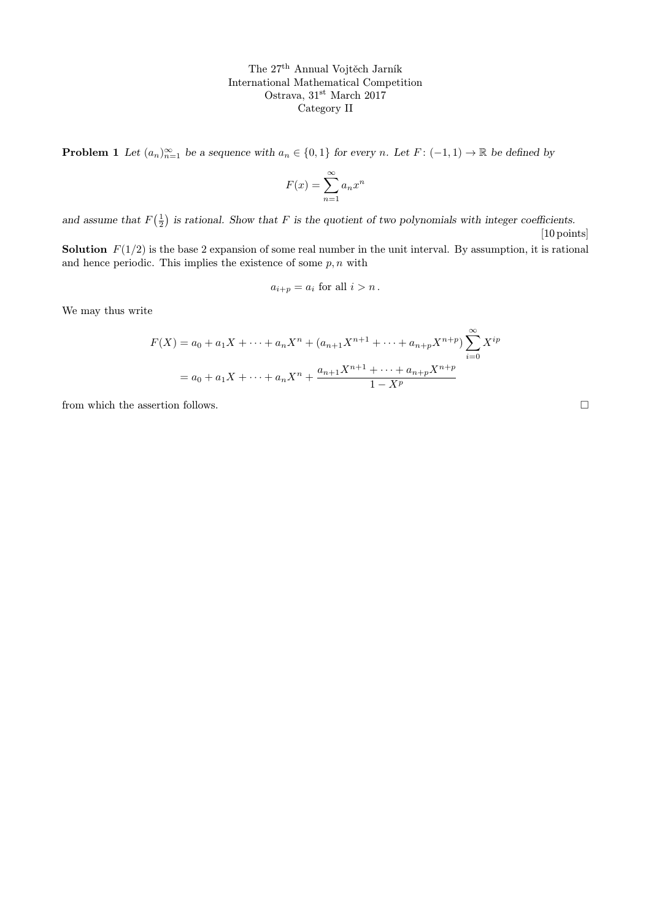The 27th Annual Vojtěch Jarník International Mathematical Competition Ostrava, 31<sup>st</sup> March 2017 Category II

**Problem 1** Let  $(a_n)_{n=1}^{\infty}$  be a sequence with  $a_n \in \{0,1\}$  for every n. Let  $F: (-1,1) \to \mathbb{R}$  be defined by

$$
F(x) = \sum_{n=1}^{\infty} a_n x^n
$$

and assume that  $F(\frac{1}{2})$  is rational. Show that F is the quotient of two polynomials with integer coefficients. [10 points]

**Solution**  $F(1/2)$  is the base 2 expansion of some real number in the unit interval. By assumption, it is rational and hence periodic. This implies the existence of some  $p, n$  with

$$
a_{i+p} = a_i \text{ for all } i > n
$$

We may thus write

$$
F(X) = a_0 + a_1 X + \dots + a_n X^n + (a_{n+1} X^{n+1} + \dots + a_{n+p} X^{n+p}) \sum_{i=0}^{\infty} X^{ip}
$$

$$
= a_0 + a_1 X + \dots + a_n X^n + \frac{a_{n+1} X^{n+1} + \dots + a_{n+p} X^{n+p}}{1 - X^p}
$$

from which the assertion follows.  $\hfill \square$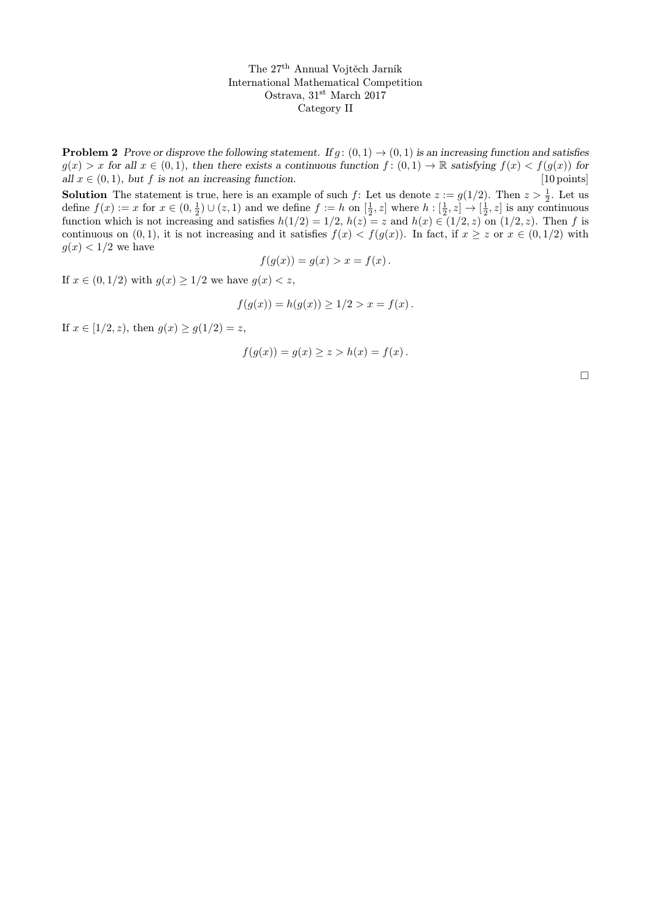The 27th Annual Vojtěch Jarník International Mathematical Competition Ostrava, 31<sup>st</sup> March 2017 Category II

**Problem 2** Prove or disprove the following statement. If  $g: (0,1) \rightarrow (0,1)$  is an increasing function and satisfies  $g(x) > x$  for all  $x \in (0, 1)$ , then there exists a continuous function  $f : (0, 1) \to \mathbb{R}$  satisfying  $f(x) < f(g(x))$  for all  $x \in (0, 1)$ , but  $f$  is not an increasing function. [10 points] all  $x \in (0, 1)$ , but f is not an increasing function.

**Solution** The statement is true, here is an example of such f: Let us denote  $z := g(1/2)$ . Then  $z > \frac{1}{2}$ . Let us define  $f(x) := x$  for  $x \in (0, \frac{1}{2}) \cup (z, 1)$  and we define  $f := h$  on  $[\frac{1}{2}, z]$  where  $h : [\frac{1}{2}, z] \to [\frac{1}{2}, z]$  is any continuous function which is not increasing and satisfies  $h(1/2) = 1/2$ ,  $h(z) = z$  and  $h(x) \in (1/2, z)$  on  $(1/2, z)$ . Then f is continuous on  $(0, 1)$ , it is not increasing and it satisfies  $f(x) < f(g(x))$ . In fact, if  $x \ge z$  or  $x \in (0, 1/2)$  with  $g(x) < 1/2$  we have

$$
f(g(x)) = g(x) > x = f(x) \, .
$$

If  $x \in (0, 1/2)$  with  $g(x) \ge 1/2$  we have  $g(x) < z$ ,

$$
f(g(x)) = h(g(x)) \ge 1/2 > x = f(x).
$$

If  $x \in [1/2, z)$ , then  $g(x) \ge g(1/2) = z$ ,

$$
f(g(x)) = g(x) \ge z > h(x) = f(x) .
$$

 $\Box$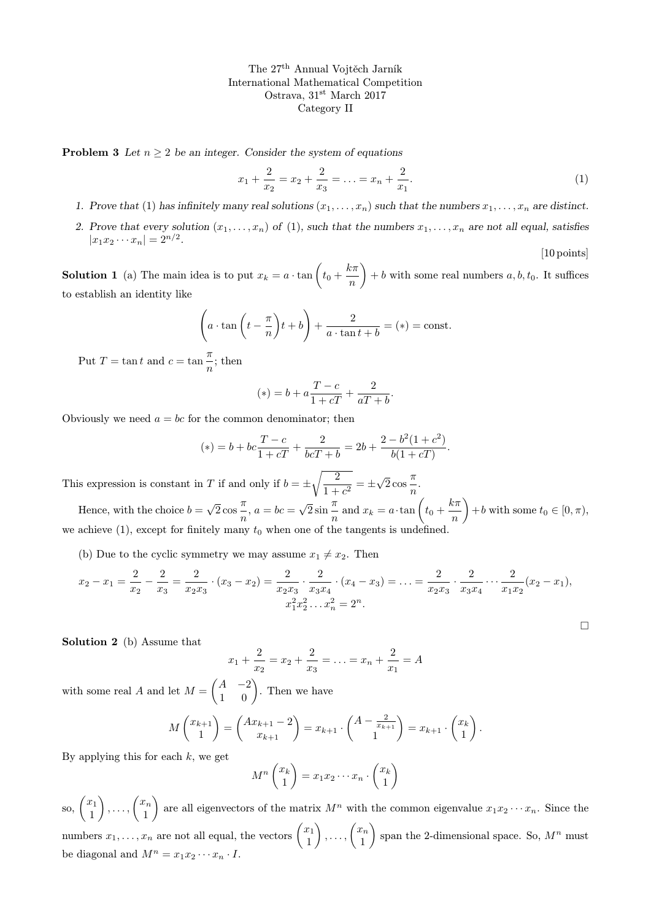The 27th Annual Vojtěch Jarník International Mathematical Competition Ostrava, 31st March 2017 Category II

**Problem 3** Let  $n \geq 2$  be an integer. Consider the system of equations

$$
x_1 + \frac{2}{x_2} = x_2 + \frac{2}{x_3} = \dots = x_n + \frac{2}{x_1}.
$$
 (1)

[10 points]

 $\Box$ 

- 1. Prove that (1) has infinitely many real solutions  $(x_1, \ldots, x_n)$  such that the numbers  $x_1, \ldots, x_n$  are distinct.
- 2. Prove that every solution  $(x_1, \ldots, x_n)$  of (1), such that the numbers  $x_1, \ldots, x_n$  are not all equal, satisfies  $|x_1x_2\cdots x_n|=2^{n/2}.$

**Solution 1** (a) The main idea is to put  $x_k = a \cdot \tan\left(t_0 + \frac{k\pi}{n}\right)$ n  $+ b$  with some real numbers  $a, b, t_0$ . It suffices to establish an identity like

$$
\left(a \cdot \tan\left(t - \frac{\pi}{n}\right)t + b\right) + \frac{2}{a \cdot \tan t + b} = (*) = \text{const.}
$$

Put  $T = \tan t$  and  $c = \tan \frac{\pi}{t}$  $\frac{n}{n}$ ; then

$$
(*) = b + a \frac{T - c}{1 + cT} + \frac{2}{aT + b}.
$$

Obviously we need  $a = bc$  for the common denominator; then

$$
(*) = b + bc \frac{T - c}{1 + cT} + \frac{2}{bcT + b} = 2b + \frac{2 - b^2(1 + c^2)}{b(1 + cT)}.
$$

This expression is constant in T if and only if  $b = \pm \sqrt{\frac{2}{1 + \frac{2}{c^2}}}$  $\frac{2}{1+c^2} = \pm$ √  $\overline{2}$  cos  $\frac{\pi}{2}$  $\frac{n}{n}$ .

Hence, with the choice  $b =$ √  $\overline{2}$  cos  $\frac{\pi}{2}$  $\frac{n}{n}$ ,  $a = bc =$ √  $\sqrt{2} \sin \frac{\pi}{2}$  $\frac{\pi}{n}$  and  $x_k = a \cdot \tan\left(t_0 + \frac{k\pi}{n}\right)$ n  $+ b$  with some  $t_0 \in [0, \pi)$ , we achieve  $(1)$ , except for finitely many  $t_0$  when one of the tangents is undefined.

(b) Due to the cyclic symmetry we may assume  $x_1 \neq x_2$ . Then

$$
x_2 - x_1 = \frac{2}{x_2} - \frac{2}{x_3} = \frac{2}{x_2 x_3} \cdot (x_3 - x_2) = \frac{2}{x_2 x_3} \cdot \frac{2}{x_3 x_4} \cdot (x_4 - x_3) = \dots = \frac{2}{x_2 x_3} \cdot \frac{2}{x_3 x_4} \cdot \dots \cdot \frac{2}{x_1 x_2} (x_2 - x_1),
$$
  

$$
x_1^2 x_2^2 \dots x_n^2 = 2^n.
$$

Solution 2 (b) Assume that

$$
x_1 + \frac{2}{x_2} = x_2 + \frac{2}{x_3} = \ldots = x_n + \frac{2}{x_1} = A
$$

with some real A and let  $M = \begin{pmatrix} A & -2 \\ 1 & 0 \end{pmatrix}$ . Then we have

$$
M\begin{pmatrix} x_{k+1} \\ 1 \end{pmatrix} = \begin{pmatrix} Ax_{k+1} - 2 \\ x_{k+1} \end{pmatrix} = x_{k+1} \cdot \begin{pmatrix} A - \frac{2}{x_{k+1}} \\ 1 \end{pmatrix} = x_{k+1} \cdot \begin{pmatrix} x_k \\ 1 \end{pmatrix}.
$$

By applying this for each  $k$ , we get

$$
M^n \begin{pmatrix} x_k \\ 1 \end{pmatrix} = x_1 x_2 \cdots x_n \cdot \begin{pmatrix} x_k \\ 1 \end{pmatrix}
$$

so,  $\begin{pmatrix} x_1 \\ 1 \end{pmatrix}$ 1  $\Big\}$ , ...,  $\Big\{ \frac{x_n}{1} \Big\}$ 1 are all eigenvectors of the matrix  $M^n$  with the common eigenvalue  $x_1x_2 \cdots x_n$ . Since the numbers  $x_1, \ldots, x_n$  are not all equal, the vectors  $\begin{pmatrix} x_1 \\ 1 \end{pmatrix}$ 1  $\bigg), \ldots, \bigg( \frac{x_n}{1} \bigg)$ 1 ) span the 2-dimensional space. So,  $M^n$  must be diagonal and  $M^n = x_1 x_2 \cdots x_n \cdot I$ .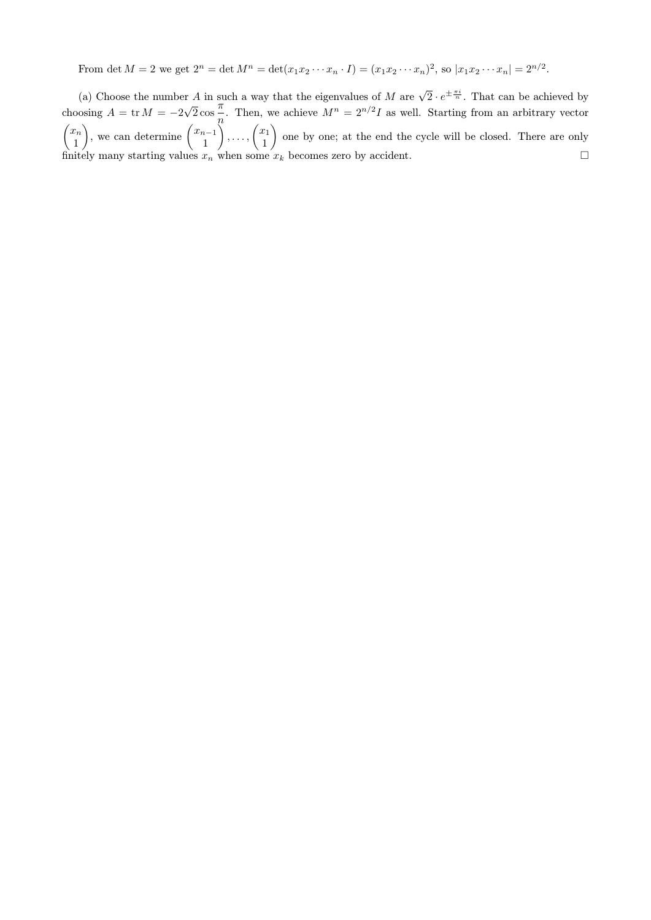From det  $M = 2$  we get  $2^n = \det M^n = \det(x_1 x_2 \cdots x_n \cdot I) = (x_1 x_2 \cdots x_n)^2$ , so  $|x_1 x_2 \cdots x_n| = 2^{n/2}$ .

(a) Choose the number A in such a way that the eigenvalues of M are  $\sqrt{2} \cdot e^{\pm \frac{\pi i}{n}}$ . That can be achieved by choosing  $A = \text{tr } M = -2$  $^{\circ}$ .  $\frac{\pi}{2}$  cos  $\frac{\pi}{4}$  $\frac{n}{n}$ . Then, we achieve  $M^n = 2^{n/2}I$  as well. Starting from an arbitrary vector  $\int x_n$ 1 ), we can determine  $\begin{pmatrix} x_{n-1} \\ 1 \end{pmatrix}$ 1  $\Big\}$ , ...,  $\Big\{ \frac{x_1}{1}$ 1 one by one; at the end the cycle will be closed. There are only finitely many starting values  $x_n$  when some  $x_k$  becomes zero by accident.